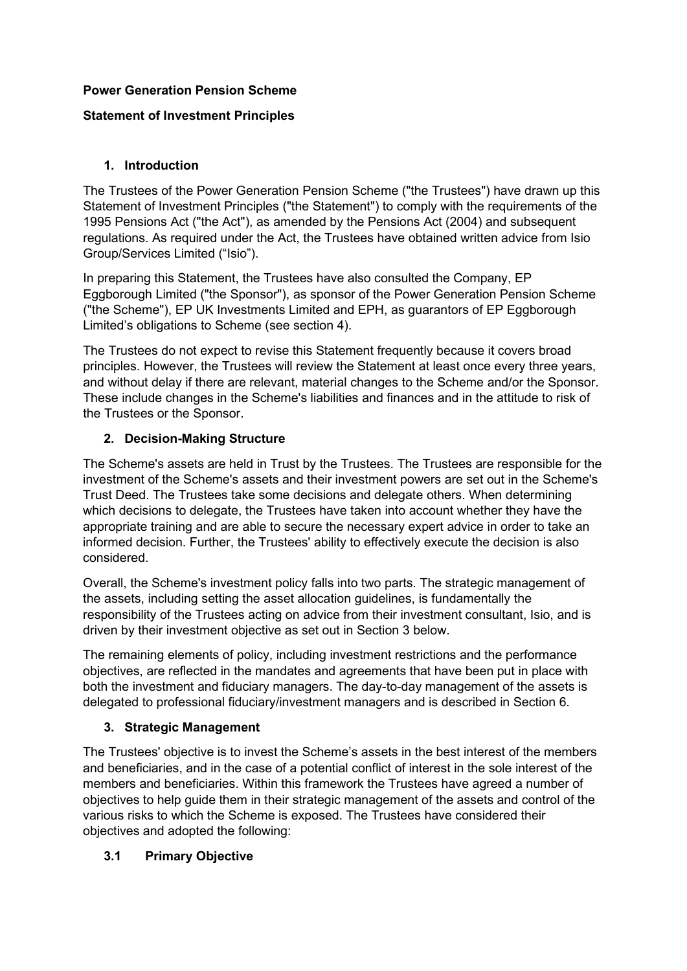### **Power Generation Pension Scheme**

## **Statement of Investment Principles**

## **1. Introduction**

The Trustees of the Power Generation Pension Scheme ("the Trustees") have drawn up this Statement of Investment Principles ("the Statement") to comply with the requirements of the 1995 Pensions Act ("the Act"), as amended by the Pensions Act (2004) and subsequent regulations. As required under the Act, the Trustees have obtained written advice from Isio Group/Services Limited ("Isio").

In preparing this Statement, the Trustees have also consulted the Company, EP Eggborough Limited ("the Sponsor"), as sponsor of the Power Generation Pension Scheme ("the Scheme"), EP UK Investments Limited and EPH, as guarantors of EP Eggborough Limited's obligations to Scheme (see section 4).

The Trustees do not expect to revise this Statement frequently because it covers broad principles. However, the Trustees will review the Statement at least once every three years, and without delay if there are relevant, material changes to the Scheme and/or the Sponsor. These include changes in the Scheme's liabilities and finances and in the attitude to risk of the Trustees or the Sponsor.

### **2. Decision-Making Structure**

The Scheme's assets are held in Trust by the Trustees. The Trustees are responsible for the investment of the Scheme's assets and their investment powers are set out in the Scheme's Trust Deed. The Trustees take some decisions and delegate others. When determining which decisions to delegate, the Trustees have taken into account whether they have the appropriate training and are able to secure the necessary expert advice in order to take an informed decision. Further, the Trustees' ability to effectively execute the decision is also considered.

Overall, the Scheme's investment policy falls into two parts. The strategic management of the assets, including setting the asset allocation guidelines, is fundamentally the responsibility of the Trustees acting on advice from their investment consultant, Isio, and is driven by their investment objective as set out in Section 3 below.

The remaining elements of policy, including investment restrictions and the performance objectives, are reflected in the mandates and agreements that have been put in place with both the investment and fiduciary managers. The day-to-day management of the assets is delegated to professional fiduciary/investment managers and is described in Section 6.

### **3. Strategic Management**

The Trustees' objective is to invest the Scheme's assets in the best interest of the members and beneficiaries, and in the case of a potential conflict of interest in the sole interest of the members and beneficiaries. Within this framework the Trustees have agreed a number of objectives to help guide them in their strategic management of the assets and control of the various risks to which the Scheme is exposed. The Trustees have considered their objectives and adopted the following:

### **3.1 Primary Objective**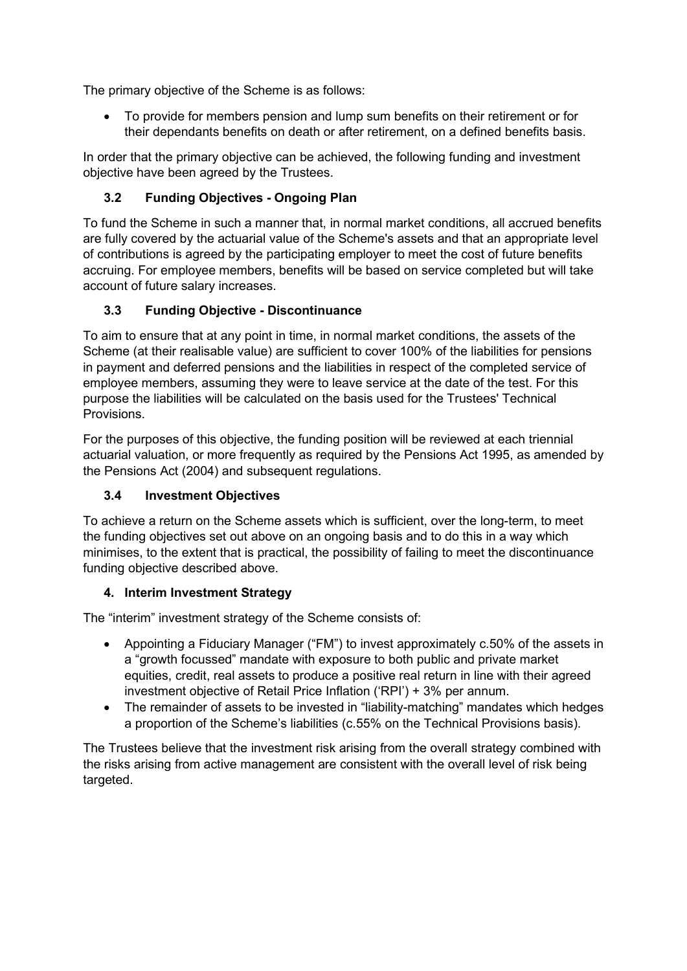The primary objective of the Scheme is as follows:

• To provide for members pension and lump sum benefits on their retirement or for their dependants benefits on death or after retirement, on a defined benefits basis.

In order that the primary objective can be achieved, the following funding and investment objective have been agreed by the Trustees.

## **3.2 Funding Objectives - Ongoing Plan**

To fund the Scheme in such a manner that, in normal market conditions, all accrued benefits are fully covered by the actuarial value of the Scheme's assets and that an appropriate level of contributions is agreed by the participating employer to meet the cost of future benefits accruing. For employee members, benefits will be based on service completed but will take account of future salary increases.

## **3.3 Funding Objective - Discontinuance**

To aim to ensure that at any point in time, in normal market conditions, the assets of the Scheme (at their realisable value) are sufficient to cover 100% of the liabilities for pensions in payment and deferred pensions and the liabilities in respect of the completed service of employee members, assuming they were to leave service at the date of the test. For this purpose the liabilities will be calculated on the basis used for the Trustees' Technical **Provisions** 

For the purposes of this objective, the funding position will be reviewed at each triennial actuarial valuation, or more frequently as required by the Pensions Act 1995, as amended by the Pensions Act (2004) and subsequent regulations.

## **3.4 Investment Objectives**

To achieve a return on the Scheme assets which is sufficient, over the long-term, to meet the funding objectives set out above on an ongoing basis and to do this in a way which minimises, to the extent that is practical, the possibility of failing to meet the discontinuance funding objective described above.

## **4. Interim Investment Strategy**

The "interim" investment strategy of the Scheme consists of:

- Appointing a Fiduciary Manager ("FM") to invest approximately c.50% of the assets in a "growth focussed" mandate with exposure to both public and private market equities, credit, real assets to produce a positive real return in line with their agreed investment objective of Retail Price Inflation ('RPI') + 3% per annum.
- The remainder of assets to be invested in "liability-matching" mandates which hedges a proportion of the Scheme's liabilities (c.55% on the Technical Provisions basis).

The Trustees believe that the investment risk arising from the overall strategy combined with the risks arising from active management are consistent with the overall level of risk being targeted.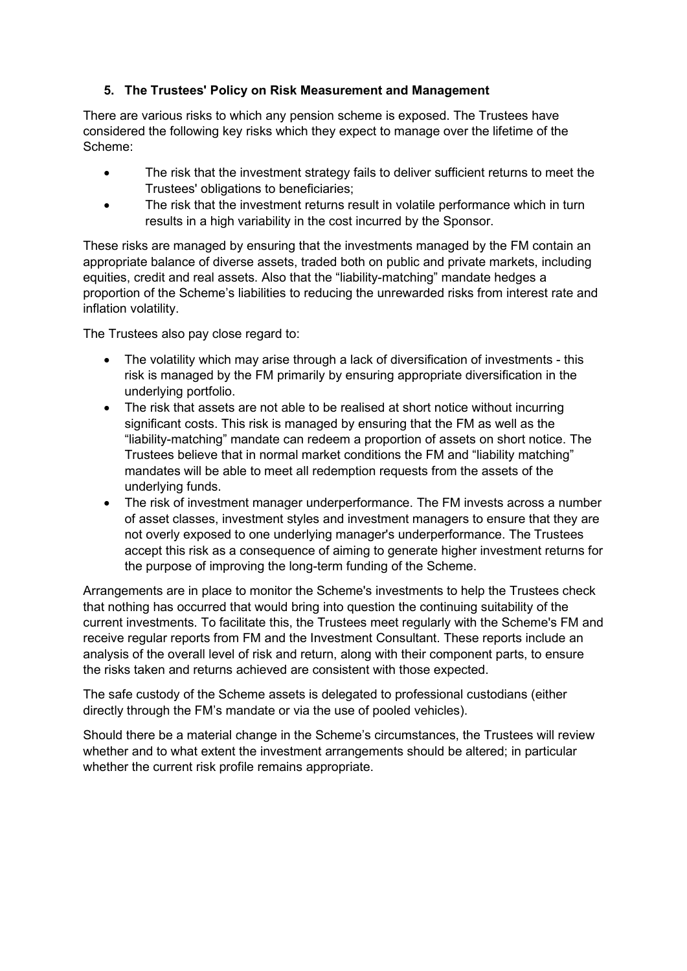#### **5. The Trustees' Policy on Risk Measurement and Management**

There are various risks to which any pension scheme is exposed. The Trustees have considered the following key risks which they expect to manage over the lifetime of the Scheme:

- The risk that the investment strategy fails to deliver sufficient returns to meet the Trustees' obligations to beneficiaries;
- The risk that the investment returns result in volatile performance which in turn results in a high variability in the cost incurred by the Sponsor.

These risks are managed by ensuring that the investments managed by the FM contain an appropriate balance of diverse assets, traded both on public and private markets, including equities, credit and real assets. Also that the "liability-matching" mandate hedges a proportion of the Scheme's liabilities to reducing the unrewarded risks from interest rate and inflation volatility.

The Trustees also pay close regard to:

- The volatility which may arise through a lack of diversification of investments this risk is managed by the FM primarily by ensuring appropriate diversification in the underlying portfolio.
- The risk that assets are not able to be realised at short notice without incurring significant costs. This risk is managed by ensuring that the FM as well as the "liability-matching" mandate can redeem a proportion of assets on short notice. The Trustees believe that in normal market conditions the FM and "liability matching" mandates will be able to meet all redemption requests from the assets of the underlying funds.
- The risk of investment manager underperformance. The FM invests across a number of asset classes, investment styles and investment managers to ensure that they are not overly exposed to one underlying manager's underperformance. The Trustees accept this risk as a consequence of aiming to generate higher investment returns for the purpose of improving the long-term funding of the Scheme.

Arrangements are in place to monitor the Scheme's investments to help the Trustees check that nothing has occurred that would bring into question the continuing suitability of the current investments. To facilitate this, the Trustees meet regularly with the Scheme's FM and receive regular reports from FM and the Investment Consultant. These reports include an analysis of the overall level of risk and return, along with their component parts, to ensure the risks taken and returns achieved are consistent with those expected.

The safe custody of the Scheme assets is delegated to professional custodians (either directly through the FM's mandate or via the use of pooled vehicles).

Should there be a material change in the Scheme's circumstances, the Trustees will review whether and to what extent the investment arrangements should be altered; in particular whether the current risk profile remains appropriate.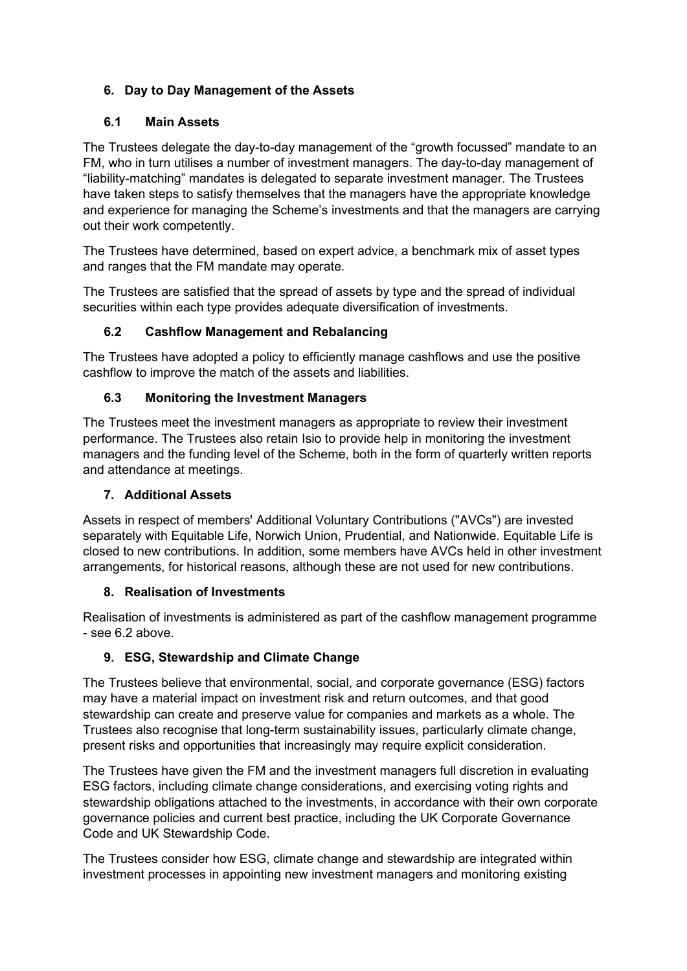## **6. Day to Day Management of the Assets**

### **6.1 Main Assets**

The Trustees delegate the day-to-day management of the "growth focussed" mandate to an FM, who in turn utilises a number of investment managers. The day-to-day management of "liability-matching" mandates is delegated to separate investment manager. The Trustees have taken steps to satisfy themselves that the managers have the appropriate knowledge and experience for managing the Scheme's investments and that the managers are carrying out their work competently.

The Trustees have determined, based on expert advice, a benchmark mix of asset types and ranges that the FM mandate may operate.

The Trustees are satisfied that the spread of assets by type and the spread of individual securities within each type provides adequate diversification of investments.

### **6.2 Cashflow Management and Rebalancing**

The Trustees have adopted a policy to efficiently manage cashflows and use the positive cashflow to improve the match of the assets and liabilities.

#### **6.3 Monitoring the Investment Managers**

The Trustees meet the investment managers as appropriate to review their investment performance. The Trustees also retain Isio to provide help in monitoring the investment managers and the funding level of the Scheme, both in the form of quarterly written reports and attendance at meetings.

### **7. Additional Assets**

Assets in respect of members' Additional Voluntary Contributions ("AVCs") are invested separately with Equitable Life, Norwich Union, Prudential, and Nationwide. Equitable Life is closed to new contributions. In addition, some members have AVCs held in other investment arrangements, for historical reasons, although these are not used for new contributions.

#### **8. Realisation of Investments**

Realisation of investments is administered as part of the cashflow management programme - see 6.2 above.

### **9. ESG, Stewardship and Climate Change**

The Trustees believe that environmental, social, and corporate governance (ESG) factors may have a material impact on investment risk and return outcomes, and that good stewardship can create and preserve value for companies and markets as a whole. The Trustees also recognise that long-term sustainability issues, particularly climate change, present risks and opportunities that increasingly may require explicit consideration.

The Trustees have given the FM and the investment managers full discretion in evaluating ESG factors, including climate change considerations, and exercising voting rights and stewardship obligations attached to the investments, in accordance with their own corporate governance policies and current best practice, including the UK Corporate Governance Code and UK Stewardship Code.

The Trustees consider how ESG, climate change and stewardship are integrated within investment processes in appointing new investment managers and monitoring existing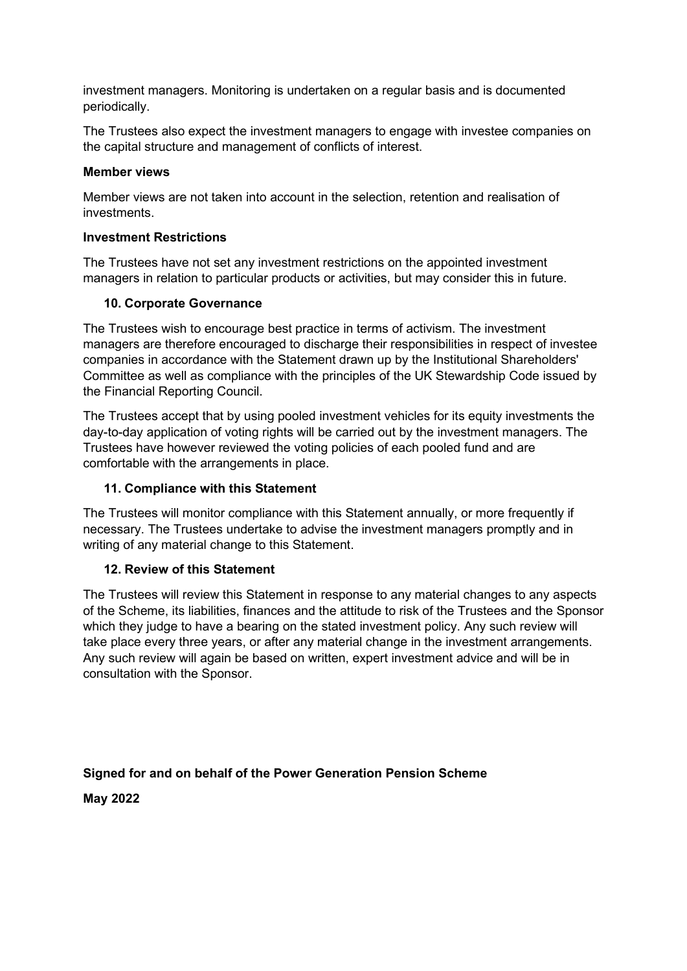investment managers. Monitoring is undertaken on a regular basis and is documented periodically.

The Trustees also expect the investment managers to engage with investee companies on the capital structure and management of conflicts of interest.

#### **Member views**

Member views are not taken into account in the selection, retention and realisation of investments.

#### **Investment Restrictions**

The Trustees have not set any investment restrictions on the appointed investment managers in relation to particular products or activities, but may consider this in future.

#### **10. Corporate Governance**

The Trustees wish to encourage best practice in terms of activism. The investment managers are therefore encouraged to discharge their responsibilities in respect of investee companies in accordance with the Statement drawn up by the Institutional Shareholders' Committee as well as compliance with the principles of the UK Stewardship Code issued by the Financial Reporting Council.

The Trustees accept that by using pooled investment vehicles for its equity investments the day-to-day application of voting rights will be carried out by the investment managers. The Trustees have however reviewed the voting policies of each pooled fund and are comfortable with the arrangements in place.

#### **11. Compliance with this Statement**

The Trustees will monitor compliance with this Statement annually, or more frequently if necessary. The Trustees undertake to advise the investment managers promptly and in writing of any material change to this Statement.

#### **12. Review of this Statement**

The Trustees will review this Statement in response to any material changes to any aspects of the Scheme, its liabilities, finances and the attitude to risk of the Trustees and the Sponsor which they judge to have a bearing on the stated investment policy. Any such review will take place every three years, or after any material change in the investment arrangements. Any such review will again be based on written, expert investment advice and will be in consultation with the Sponsor.

**Signed for and on behalf of the Power Generation Pension Scheme**

**May 2022**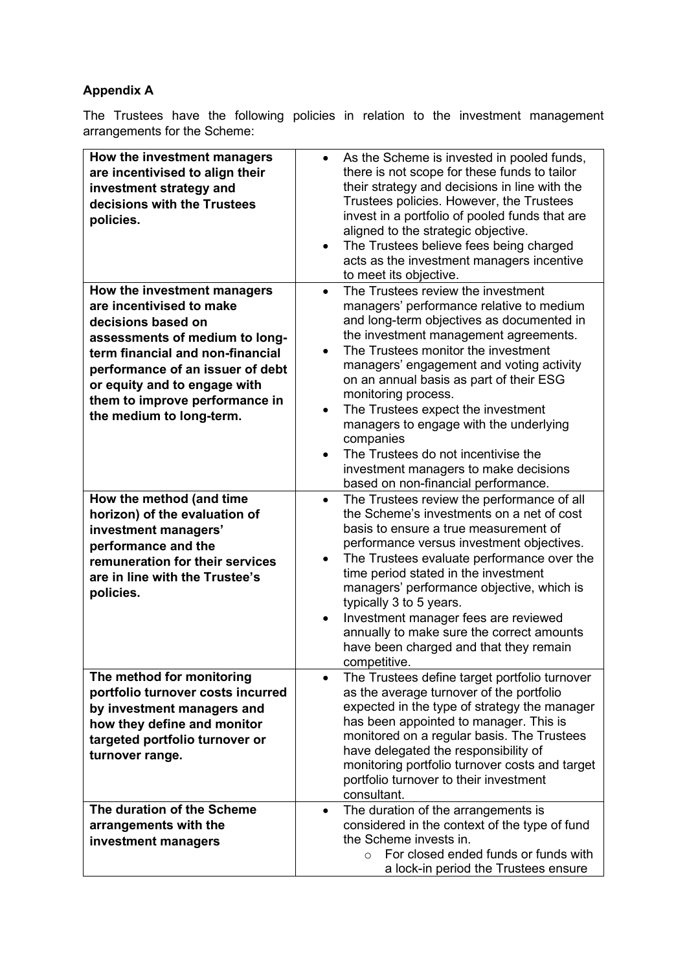# **Appendix A**

The Trustees have the following policies in relation to the investment management arrangements for the Scheme:

| How the investment managers<br>are incentivised to align their<br>investment strategy and<br>decisions with the Trustees<br>policies.                                                                                                                                                 | As the Scheme is invested in pooled funds,<br>$\bullet$<br>there is not scope for these funds to tailor<br>their strategy and decisions in line with the<br>Trustees policies. However, the Trustees<br>invest in a portfolio of pooled funds that are<br>aligned to the strategic objective.<br>The Trustees believe fees being charged<br>$\bullet$<br>acts as the investment managers incentive<br>to meet its objective.                                                                                                                                            |
|---------------------------------------------------------------------------------------------------------------------------------------------------------------------------------------------------------------------------------------------------------------------------------------|-------------------------------------------------------------------------------------------------------------------------------------------------------------------------------------------------------------------------------------------------------------------------------------------------------------------------------------------------------------------------------------------------------------------------------------------------------------------------------------------------------------------------------------------------------------------------|
| How the investment managers<br>are incentivised to make<br>decisions based on<br>assessments of medium to long-<br>term financial and non-financial<br>performance of an issuer of debt<br>or equity and to engage with<br>them to improve performance in<br>the medium to long-term. | The Trustees review the investment<br>$\bullet$<br>managers' performance relative to medium<br>and long-term objectives as documented in<br>the investment management agreements.<br>The Trustees monitor the investment<br>managers' engagement and voting activity<br>on an annual basis as part of their ESG<br>monitoring process.<br>The Trustees expect the investment<br>managers to engage with the underlying<br>companies<br>The Trustees do not incentivise the<br>$\bullet$<br>investment managers to make decisions<br>based on non-financial performance. |
| How the method (and time<br>horizon) of the evaluation of<br>investment managers'<br>performance and the<br>remuneration for their services<br>are in line with the Trustee's<br>policies.                                                                                            | The Trustees review the performance of all<br>the Scheme's investments on a net of cost<br>basis to ensure a true measurement of<br>performance versus investment objectives.<br>The Trustees evaluate performance over the<br>$\bullet$<br>time period stated in the investment<br>managers' performance objective, which is<br>typically 3 to 5 years.<br>Investment manager fees are reviewed<br>$\bullet$<br>annually to make sure the correct amounts<br>have been charged and that they remain<br>competitive.                                                    |
| The method for monitoring<br>portfolio turnover costs incurred<br>by investment managers and<br>how they define and monitor<br>targeted portfolio turnover or<br>turnover range.                                                                                                      | The Trustees define target portfolio turnover<br>as the average turnover of the portfolio<br>expected in the type of strategy the manager<br>has been appointed to manager. This is<br>monitored on a regular basis. The Trustees<br>have delegated the responsibility of<br>monitoring portfolio turnover costs and target<br>portfolio turnover to their investment<br>consultant.                                                                                                                                                                                    |
| The duration of the Scheme<br>arrangements with the<br>investment managers                                                                                                                                                                                                            | The duration of the arrangements is<br>considered in the context of the type of fund<br>the Scheme invests in.<br>For closed ended funds or funds with<br>$\circ$<br>a lock-in period the Trustees ensure                                                                                                                                                                                                                                                                                                                                                               |